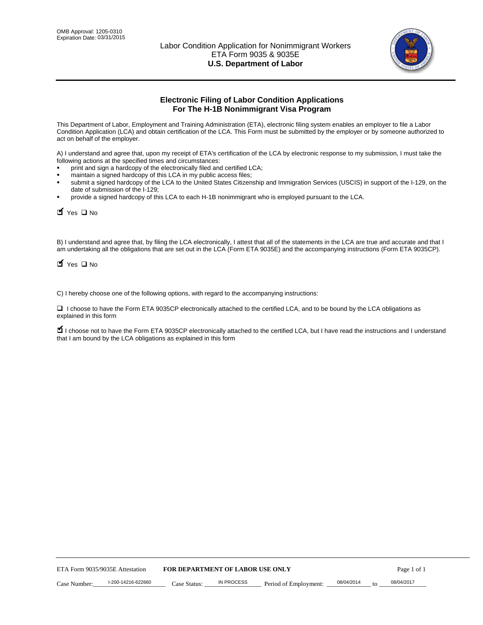

# **Electronic Filing of Labor Condition Applications For The H-1B Nonimmigrant Visa Program**

This Department of Labor, Employment and Training Administration (ETA), electronic filing system enables an employer to file a Labor Condition Application (LCA) and obtain certification of the LCA. This Form must be submitted by the employer or by someone authorized to act on behalf of the employer.

A) I understand and agree that, upon my receipt of ETA's certification of the LCA by electronic response to my submission, I must take the following actions at the specified times and circumstances:

- print and sign a hardcopy of the electronically filed and certified LCA;
- maintain a signed hardcopy of this LCA in my public access files;
- submit a signed hardcopy of the LCA to the United States Citizenship and Immigration Services (USCIS) in support of the I-129, on the date of submission of the I-129;
- provide a signed hardcopy of this LCA to each H-1B nonimmigrant who is employed pursuant to the LCA.

| Yes O No                                                                                                                                                                                                                                                                                                              |              |                                  |                       |                  |             |
|-----------------------------------------------------------------------------------------------------------------------------------------------------------------------------------------------------------------------------------------------------------------------------------------------------------------------|--------------|----------------------------------|-----------------------|------------------|-------------|
| B) I understand and agree that, by filing the LCA electronically, I attest that all of the statements in the LCA are true and accurate and th<br>am undertaking all the obligations that are set out in the LCA (Form ETA 9035E) and the accompanying instructions (Form ETA 9035C<br>$\blacksquare$ Yes $\square$ No |              |                                  |                       |                  |             |
| C) I hereby choose one of the following options, with regard to the accompanying instructions:                                                                                                                                                                                                                        |              |                                  |                       |                  |             |
| □ I choose to have the Form ETA 9035CP electronically attached to the certified LCA, and to be bound by the LCA obligations as<br>explained in this form                                                                                                                                                              |              |                                  |                       |                  |             |
| I choose not to have the Form ETA 9035CP electronically attached to the certified LCA, but I have read the instructions and I unders<br>that I am bound by the LCA obligations as explained in this form                                                                                                              |              |                                  |                       |                  |             |
|                                                                                                                                                                                                                                                                                                                       |              |                                  |                       |                  |             |
|                                                                                                                                                                                                                                                                                                                       |              |                                  |                       |                  |             |
|                                                                                                                                                                                                                                                                                                                       |              |                                  |                       |                  |             |
|                                                                                                                                                                                                                                                                                                                       |              |                                  |                       |                  |             |
|                                                                                                                                                                                                                                                                                                                       |              |                                  |                       |                  |             |
|                                                                                                                                                                                                                                                                                                                       |              |                                  |                       |                  |             |
|                                                                                                                                                                                                                                                                                                                       |              |                                  |                       |                  |             |
|                                                                                                                                                                                                                                                                                                                       |              |                                  |                       |                  |             |
|                                                                                                                                                                                                                                                                                                                       |              |                                  |                       |                  |             |
|                                                                                                                                                                                                                                                                                                                       |              |                                  |                       |                  |             |
| ETA Form 9035/9035E Attestation                                                                                                                                                                                                                                                                                       |              | FOR DEPARTMENT OF LABOR USE ONLY |                       |                  | Page 1 of 1 |
| I-200-14216-622660<br>Case Number:                                                                                                                                                                                                                                                                                    | Case Status: | <b>IN PROCESS</b>                | Period of Employment: | 08/04/2014<br>to | 08/04/2017  |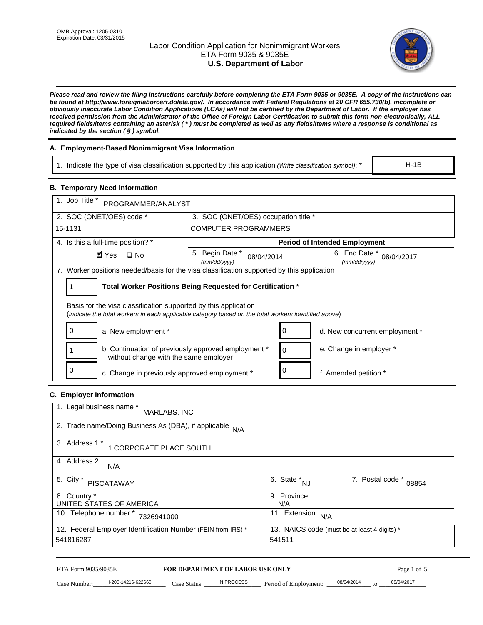# Labor Condition Application for Nonimmigrant Workers ETA Form 9035 & 9035E **U.S. Department of Labor**



*Please read and review the filing instructions carefully before completing the ETA Form 9035 or 9035E. A copy of the instructions can be found at http://www.foreignlaborcert.doleta.gov/. In accordance with Federal Regulations at 20 CFR 655.730(b), incomplete or obviously inaccurate Labor Condition Applications (LCAs) will not be certified by the Department of Labor. If the employer has received permission from the Administrator of the Office of Foreign Labor Certification to submit this form non-electronically, ALL required fields/items containing an asterisk ( \* ) must be completed as well as any fields/items where a response is conditional as indicated by the section ( § ) symbol.* 

# **A. Employment-Based Nonimmigrant Visa Information**

1. Indicate the type of visa classification supported by this application *(Write classification symbol)*: \*

# **B. Temporary Need Information**

| <b>B. Temporary Need Information</b>                                                                                                                                    |                                                            |                                              |  |  |  |
|-------------------------------------------------------------------------------------------------------------------------------------------------------------------------|------------------------------------------------------------|----------------------------------------------|--|--|--|
| 1. Job Title *<br>PROGRAMMER/ANALYST                                                                                                                                    |                                                            |                                              |  |  |  |
| 2. SOC (ONET/OES) code *<br>3. SOC (ONET/OES) occupation title *                                                                                                        |                                                            |                                              |  |  |  |
| 15-1131                                                                                                                                                                 | <b>COMPUTER PROGRAMMERS</b>                                |                                              |  |  |  |
| 4. Is this a full-time position? *                                                                                                                                      |                                                            | <b>Period of Intended Employment</b>         |  |  |  |
| $\blacksquare$ Yes<br>$\square$ No                                                                                                                                      | 5. Begin Date *<br>08/04/2014<br>(mm/dd/yyyy)              | 6. End Date *<br>08/04/2017<br>(mm/dd/yyyy)  |  |  |  |
| 7. Worker positions needed/basis for the visa classification supported by this application                                                                              |                                                            |                                              |  |  |  |
| 1                                                                                                                                                                       | Total Worker Positions Being Requested for Certification * |                                              |  |  |  |
|                                                                                                                                                                         |                                                            |                                              |  |  |  |
| Basis for the visa classification supported by this application<br>(indicate the total workers in each applicable category based on the total workers identified above) |                                                            |                                              |  |  |  |
| 0<br>a. New employment *                                                                                                                                                | 0                                                          | d. New concurrent employment *               |  |  |  |
| b. Continuation of previously approved employment *<br>without change with the same employer                                                                            | 0                                                          | e. Change in employer *                      |  |  |  |
| 0<br>c. Change in previously approved employment *                                                                                                                      | 0                                                          | f. Amended petition *                        |  |  |  |
| C. Employer Information                                                                                                                                                 |                                                            |                                              |  |  |  |
| 1. Legal business name *                                                                                                                                                |                                                            |                                              |  |  |  |
| MARLABS, INC                                                                                                                                                            |                                                            |                                              |  |  |  |
| 2. Trade name/Doing Business As (DBA), if applicable                                                                                                                    | N/A                                                        |                                              |  |  |  |
| 3. Address 1 *<br>1 CORPORATE PLACE SOUTH                                                                                                                               |                                                            |                                              |  |  |  |
| 4. Address 2<br>N/A                                                                                                                                                     |                                                            |                                              |  |  |  |
| 5. City *<br><b>PISCATAWAY</b>                                                                                                                                          | $\overline{6. \text{ State}}^*_{NJ}$                       | 7. Postal code *<br>08854                    |  |  |  |
| 8. Country *<br>UNITED STATES OF AMERICA                                                                                                                                | 9. Province<br>N/A                                         |                                              |  |  |  |
| 10. Telephone number * 7326941000                                                                                                                                       |                                                            | 11. Extension $N/A$                          |  |  |  |
| 12. Federal Employer Identification Number (FEIN from IRS) *<br>541816287                                                                                               | 541511                                                     | 13. NAICS code (must be at least 4-digits) * |  |  |  |
|                                                                                                                                                                         |                                                            |                                              |  |  |  |

# **C. Employer Information**

| 1. Legal business name *<br>MARLABS, INC                     |                                              |                           |
|--------------------------------------------------------------|----------------------------------------------|---------------------------|
| 2. Trade name/Doing Business As (DBA), if applicable<br>N/A  |                                              |                           |
| 3. Address 1 *<br>1 CORPORATE PLACE SOUTH                    |                                              |                           |
| 4. Address 2<br>N/A                                          |                                              |                           |
| 5. City *<br>PISCATAWAY                                      | 6. State *<br>NJ                             | 7. Postal code *<br>08854 |
| 8. Country *                                                 | 9. Province                                  |                           |
| UNITED STATES OF AMERICA                                     | N/A                                          |                           |
| 10. Telephone number *<br>7326941000                         | 11. Extension<br>N/A                         |                           |
| 12. Federal Employer Identification Number (FEIN from IRS) * | 13. NAICS code (must be at least 4-digits) * |                           |
| 541816287                                                    | 541511                                       |                           |

# ETA Form 9035/9035E **FOR DEPARTMENT OF LABOR USE ONLY** Page 1 of 5<br>Case Number: 1-200-14216-622660 Case Status: IN PROCESS Period of Employment: 08/04/2014 to 08/04/2017

Case Number:  $-$  1-200-14216-622660 Case Status: NPROCESS Period of Employment:  $-$  08/04/2014 to  $-$  08/04/2017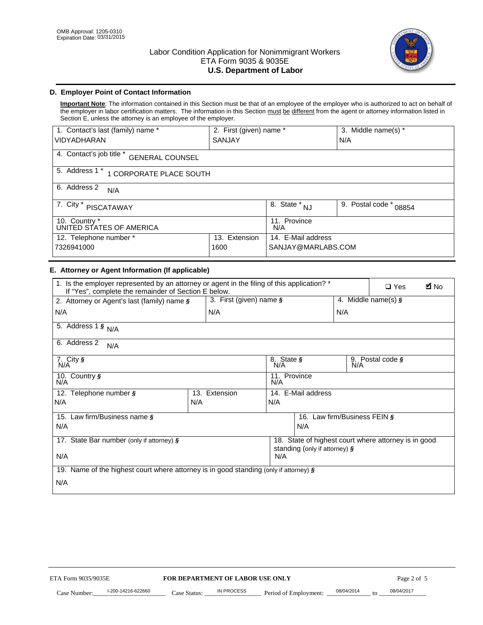

# **D. Employer Point of Contact Information**

**Important Note**: The information contained in this Section must be that of an employee of the employer who is authorized to act on behalf of the employer in labor certification matters. The information in this Section must be different from the agent or attorney information listed in Section E, unless the attorney is an employee of the employer.

| 1. Contact's last (family) name *                  | 2. First (given) name *           |                           | 3. Middle name(s) * |  |  |
|----------------------------------------------------|-----------------------------------|---------------------------|---------------------|--|--|
| <b>VIDYADHARAN</b>                                 | <b>SANJAY</b>                     |                           | N/A                 |  |  |
| 4. Contact's job title *<br><b>GENERAL COUNSEL</b> |                                   |                           |                     |  |  |
| 5. Address 1 *<br>1 CORPORATE PLACE SOUTH          |                                   |                           |                     |  |  |
| 6. Address 2<br>N/A                                |                                   |                           |                     |  |  |
| 7. City $*$<br><b>PISCATAWAY</b>                   | $8. \overline{\text{State}}^*$ NJ | 9. Postal code *<br>08854 |                     |  |  |
| 10. Country *<br>UNITED STATES OF AMERICA          |                                   | 11. Province<br>N/A       |                     |  |  |
| 12. Telephone number *<br>Extension<br>13.         |                                   | 14. E-Mail address        |                     |  |  |
| 7326941000<br>1600                                 |                                   | SANJAY@MARLABS.COM        |                     |  |  |

# **E. Attorney or Agent Information (If applicable)**

| VIDYADHARAN                                                                                                                                         | SANJAY                           |                                           |                                          | N/A              |                                                      |             |
|-----------------------------------------------------------------------------------------------------------------------------------------------------|----------------------------------|-------------------------------------------|------------------------------------------|------------------|------------------------------------------------------|-------------|
| 4. Contact's job title * GENERAL COUNSEL                                                                                                            |                                  |                                           |                                          |                  |                                                      |             |
| 5. Address 1 * 1 CORPORATE PLACE SOUTH                                                                                                              |                                  |                                           |                                          |                  |                                                      |             |
| 6. Address 2<br>N/A                                                                                                                                 |                                  |                                           |                                          |                  |                                                      |             |
| 7. City * PISCATAWAY                                                                                                                                |                                  | $\overline{\phantom{a}}$ 8. State $^*$ NJ |                                          | 9. Postal code * | 08854                                                |             |
| 10. Country *<br>UNITED STATES OF AMERICA                                                                                                           |                                  | 11. Province<br>N/A                       |                                          |                  |                                                      |             |
| 12. Telephone number *<br>7326941000                                                                                                                | 13. Extension<br>1600            |                                           | 14. E-Mail address<br>SANJAY@MARLABS.COM |                  |                                                      |             |
| E. Attorney or Agent Information (If applicable)                                                                                                    |                                  |                                           |                                          |                  |                                                      |             |
| 1. Is the employer represented by an attorney or agent in the filing of this application? *<br>If "Yes", complete the remainder of Section E below. |                                  |                                           |                                          |                  | $\Box$ Yes                                           | <b>A</b> No |
| 2. Attorney or Agent's last (family) name §                                                                                                         | 3. First (given) name §          |                                           |                                          |                  | 4. Middle name(s) $\sqrt{s}$                         |             |
| N/A                                                                                                                                                 | N/A                              |                                           |                                          | N/A              |                                                      |             |
| 5. Address 1 $\frac{1}{9}$ N/A                                                                                                                      |                                  |                                           |                                          |                  |                                                      |             |
| 6. Address 2<br>N/A                                                                                                                                 |                                  |                                           |                                          |                  |                                                      |             |
| 7. City §<br>N/A                                                                                                                                    |                                  | 8. State §<br>N/A<br>9. Postal code §     |                                          |                  |                                                      |             |
| 10. Country §<br>N/A                                                                                                                                |                                  | 11. Province<br>N/A                       |                                          |                  |                                                      |             |
| 12. Telephone number §                                                                                                                              | 13. Extension                    | 14. E-Mail address                        |                                          |                  |                                                      |             |
| N/A                                                                                                                                                 | N/A                              | N/A                                       |                                          |                  |                                                      |             |
| 15. Law firm/Business name §                                                                                                                        |                                  |                                           | 16. Law firm/Business FEIN §             |                  |                                                      |             |
| N/A                                                                                                                                                 |                                  |                                           | N/A                                      |                  |                                                      |             |
| 17. State Bar number (only if attorney) §                                                                                                           |                                  |                                           | standing (only if attorney) §            |                  | 18. State of highest court where attorney is in good |             |
| N/A                                                                                                                                                 |                                  | N/A                                       |                                          |                  |                                                      |             |
| 19. Name of the highest court where attorney is in good standing (only if attorney) §                                                               |                                  |                                           |                                          |                  |                                                      |             |
| N/A                                                                                                                                                 |                                  |                                           |                                          |                  |                                                      |             |
|                                                                                                                                                     |                                  |                                           |                                          |                  |                                                      |             |
|                                                                                                                                                     |                                  |                                           |                                          |                  |                                                      |             |
|                                                                                                                                                     |                                  |                                           |                                          |                  |                                                      |             |
|                                                                                                                                                     |                                  |                                           |                                          |                  |                                                      |             |
|                                                                                                                                                     |                                  |                                           |                                          |                  |                                                      |             |
|                                                                                                                                                     |                                  |                                           |                                          |                  |                                                      |             |
|                                                                                                                                                     |                                  |                                           |                                          |                  |                                                      |             |
| ETA Form 9035/9035E                                                                                                                                 | FOR DEPARTMENT OF LABOR USE ONLY |                                           |                                          |                  | Page 2 of 5                                          |             |
| I-200-14216-622660                                                                                                                                  | <b>IN PROCESS</b>                |                                           |                                          | 08/04/2014       | 08/04/2017                                           |             |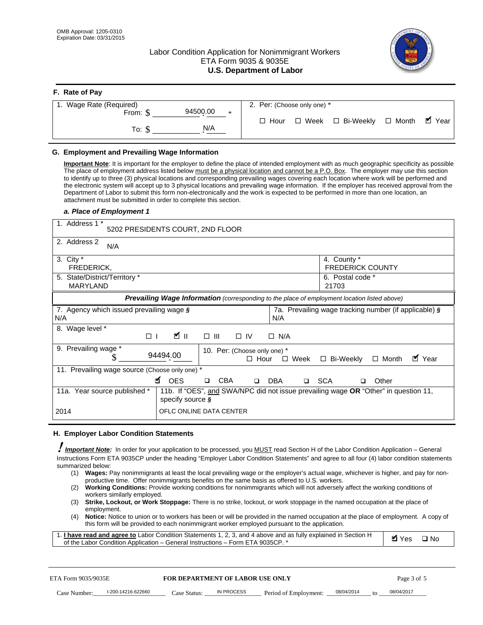# Labor Condition Application for Nonimmigrant Workers ETA Form 9035 & 9035E **U.S. Department of Labor**



| F. Rate of Pay                 |                                           |
|--------------------------------|-------------------------------------------|
| 1. Wage Rate (Required)        | 2. Per: (Choose only one) *               |
| 94500.00<br>From: \$<br>$\ast$ | ■ Year                                    |
| N/A<br>To: \$                  | □ Week □ Bi-Weekly □ Month<br>$\Box$ Hour |

### **G. Employment and Prevailing Wage Information**

#### *a. Place of Employment 1*

| From: \$<br>To: $$$                                                                                                                                                                                                                                                                                                                                                                                                                                                                                                                                                                                                                                                                                                                                                                                                  | 94500.00<br>*<br>N/A                                                                                                                                                                                                                                                                                                                                                                                                                                                                                                                                                                                                                                                                                                              | $\Box$ Hour                                                | $\square$ Week<br>□ Bi-Weekly                         | $\blacksquare$ Year<br>$\Box$ Month |
|----------------------------------------------------------------------------------------------------------------------------------------------------------------------------------------------------------------------------------------------------------------------------------------------------------------------------------------------------------------------------------------------------------------------------------------------------------------------------------------------------------------------------------------------------------------------------------------------------------------------------------------------------------------------------------------------------------------------------------------------------------------------------------------------------------------------|-----------------------------------------------------------------------------------------------------------------------------------------------------------------------------------------------------------------------------------------------------------------------------------------------------------------------------------------------------------------------------------------------------------------------------------------------------------------------------------------------------------------------------------------------------------------------------------------------------------------------------------------------------------------------------------------------------------------------------------|------------------------------------------------------------|-------------------------------------------------------|-------------------------------------|
| G. Employment and Prevailing Wage Information                                                                                                                                                                                                                                                                                                                                                                                                                                                                                                                                                                                                                                                                                                                                                                        |                                                                                                                                                                                                                                                                                                                                                                                                                                                                                                                                                                                                                                                                                                                                   |                                                            |                                                       |                                     |
| Important Note: It is important for the employer to define the place of intended employment with as much geographic specificity as possible<br>The place of employment address listed below must be a physical location and cannot be a P.O. Box. The employer may use this section<br>to identify up to three (3) physical locations and corresponding prevailing wages covering each location where work will be performed and<br>the electronic system will accept up to 3 physical locations and prevailing wage information. If the employer has received approval from the<br>Department of Labor to submit this form non-electronically and the work is expected to be performed in more than one location, an<br>attachment must be submitted in order to complete this section.<br>a. Place of Employment 1 |                                                                                                                                                                                                                                                                                                                                                                                                                                                                                                                                                                                                                                                                                                                                   |                                                            |                                                       |                                     |
| 1. Address 1 *                                                                                                                                                                                                                                                                                                                                                                                                                                                                                                                                                                                                                                                                                                                                                                                                       | 5202 PRESIDENTS COURT, 2ND FLOOR                                                                                                                                                                                                                                                                                                                                                                                                                                                                                                                                                                                                                                                                                                  |                                                            |                                                       |                                     |
| 2. Address 2<br>N/A                                                                                                                                                                                                                                                                                                                                                                                                                                                                                                                                                                                                                                                                                                                                                                                                  |                                                                                                                                                                                                                                                                                                                                                                                                                                                                                                                                                                                                                                                                                                                                   |                                                            |                                                       |                                     |
| 3. City $*$<br>FREDERICK,                                                                                                                                                                                                                                                                                                                                                                                                                                                                                                                                                                                                                                                                                                                                                                                            |                                                                                                                                                                                                                                                                                                                                                                                                                                                                                                                                                                                                                                                                                                                                   |                                                            | 4. County *<br><b>FREDERICK COUNTY</b>                |                                     |
| 5. State/District/Territory *<br><b>MARYLAND</b>                                                                                                                                                                                                                                                                                                                                                                                                                                                                                                                                                                                                                                                                                                                                                                     |                                                                                                                                                                                                                                                                                                                                                                                                                                                                                                                                                                                                                                                                                                                                   |                                                            | 6. Postal code *<br>21703                             |                                     |
|                                                                                                                                                                                                                                                                                                                                                                                                                                                                                                                                                                                                                                                                                                                                                                                                                      | Prevailing Wage Information (corresponding to the place of employment location listed above)                                                                                                                                                                                                                                                                                                                                                                                                                                                                                                                                                                                                                                      |                                                            |                                                       |                                     |
| 7. Agency which issued prevailing wage $\boldsymbol{\S}$<br>N/A                                                                                                                                                                                                                                                                                                                                                                                                                                                                                                                                                                                                                                                                                                                                                      |                                                                                                                                                                                                                                                                                                                                                                                                                                                                                                                                                                                                                                                                                                                                   | N/A                                                        | 7a. Prevailing wage tracking number (if applicable) § |                                     |
| 8. Wage level *<br>$\Box$                                                                                                                                                                                                                                                                                                                                                                                                                                                                                                                                                                                                                                                                                                                                                                                            | <b>M</b><br>$\Box$ $\Box$                                                                                                                                                                                                                                                                                                                                                                                                                                                                                                                                                                                                                                                                                                         | $\Box$ IV<br>$\Box$ N/A                                    |                                                       |                                     |
| 9. Prevailing wage *<br>S                                                                                                                                                                                                                                                                                                                                                                                                                                                                                                                                                                                                                                                                                                                                                                                            | 94494.00                                                                                                                                                                                                                                                                                                                                                                                                                                                                                                                                                                                                                                                                                                                          | 10. Per: (Choose only one) *<br>$\Box$ Hour<br>$\Box$ Week | □ Bi-Weekly                                           | ■ Year<br>$\Box$ Month              |
| 11. Prevailing wage source (Choose only one) *                                                                                                                                                                                                                                                                                                                                                                                                                                                                                                                                                                                                                                                                                                                                                                       | <b>¤</b> OES<br>CBA<br>$\Box$                                                                                                                                                                                                                                                                                                                                                                                                                                                                                                                                                                                                                                                                                                     | DBA<br>$\Box$                                              | □ SCA<br>□                                            | Other                               |
| 11a. Year source published *                                                                                                                                                                                                                                                                                                                                                                                                                                                                                                                                                                                                                                                                                                                                                                                         | 11b. If "OES", and SWA/NPC did not issue prevailing wage OR "Other" in question 11,<br>specify source $\boldsymbol{\S}$                                                                                                                                                                                                                                                                                                                                                                                                                                                                                                                                                                                                           |                                                            |                                                       |                                     |
| 2014                                                                                                                                                                                                                                                                                                                                                                                                                                                                                                                                                                                                                                                                                                                                                                                                                 | OFLC ONLINE DATA CENTER                                                                                                                                                                                                                                                                                                                                                                                                                                                                                                                                                                                                                                                                                                           |                                                            |                                                       |                                     |
| H. Employer Labor Condition Statements                                                                                                                                                                                                                                                                                                                                                                                                                                                                                                                                                                                                                                                                                                                                                                               |                                                                                                                                                                                                                                                                                                                                                                                                                                                                                                                                                                                                                                                                                                                                   |                                                            |                                                       |                                     |
| I Important Note: In order for your application to be processed, you MUST read Section H of the Labor Condition Application – General<br>Instructions Form ETA 9035CP under the heading "Employer Labor Condition Statements" and agree to all four (4) labor condition statements<br>summarized below:<br>(2)<br>workers similarly employed.<br>(3)<br>employment.<br>(4)<br>1. I have read and agree to Labor Condition Statements 1, 2, 3, and 4 above and as fully explained in Section H<br>of the Labor Condition Application - General Instructions - Form ETA 9035CP. *                                                                                                                                                                                                                                      | (1) Wages: Pay nonimmigrants at least the local prevailing wage or the employer's actual wage, whichever is higher, and pay for non-<br>productive time. Offer nonimmigrants benefits on the same basis as offered to U.S. workers.<br>Working Conditions: Provide working conditions for nonimmigrants which will not adversely affect the working conditions of<br>Strike, Lockout, or Work Stoppage: There is no strike, lockout, or work stoppage in the named occupation at the place of<br>Notice: Notice to union or to workers has been or will be provided in the named occupation at the place of employment. A copy of<br>this form will be provided to each nonimmigrant worker employed pursuant to the application. |                                                            |                                                       | <b>Ø</b> Yes<br>$\square$ No        |
| ETA Form 9035/9035E                                                                                                                                                                                                                                                                                                                                                                                                                                                                                                                                                                                                                                                                                                                                                                                                  | <b>FOR DEPARTMENT OF LABOR USE ONLY</b>                                                                                                                                                                                                                                                                                                                                                                                                                                                                                                                                                                                                                                                                                           |                                                            |                                                       | Page 3 of 5                         |
| I-200-14216-622660<br>Case Number:                                                                                                                                                                                                                                                                                                                                                                                                                                                                                                                                                                                                                                                                                                                                                                                   | IN PROCESS<br>Case Status:                                                                                                                                                                                                                                                                                                                                                                                                                                                                                                                                                                                                                                                                                                        | Period of Employment:                                      | 08/04/2014                                            | 08/04/2017                          |

#### **H. Employer Labor Condition Statements**

- (1) **Wages:** Pay nonimmigrants at least the local prevailing wage or the employer's actual wage, whichever is higher, and pay for nonproductive time. Offer nonimmigrants benefits on the same basis as offered to U.S. workers.
- (2) **Working Conditions:** Provide working conditions for nonimmigrants which will not adversely affect the working conditions of workers similarly employed.
- (3) **Strike, Lockout, or Work Stoppage:** There is no strike, lockout, or work stoppage in the named occupation at the place of employment.
- (4) **Notice:** Notice to union or to workers has been or will be provided in the named occupation at the place of employment. A copy of this form will be provided to each nonimmigrant worker employed pursuant to the application.

| 1. I have read and agree to Labor Condition Statements 1, 2, 3, and 4 above and as fully explained in Section H | Øl Yes | $\Box$ No |
|-----------------------------------------------------------------------------------------------------------------|--------|-----------|
| of the Labor Condition Application – General Instructions – Form ETA 9035CP. *                                  |        |           |

| ETA Form 9035/9035E |                    | <b>FOR DEPARTMENT OF LABOR USE ONLY</b> |            |                       | Page 3 of 5 |    |            |
|---------------------|--------------------|-----------------------------------------|------------|-----------------------|-------------|----|------------|
| Case Number:        | l-200-14216-622660 | Case Status:                            | IN PROCESS | Period of Employment: | 08/04/2014  | to | 08/04/2017 |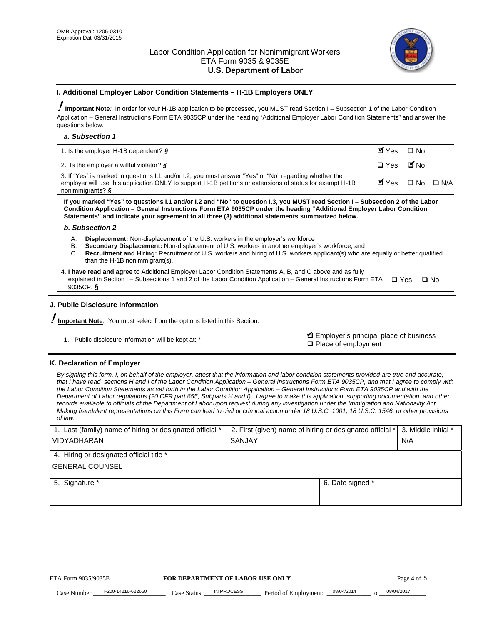

#### **I. Additional Employer Labor Condition Statements – H-1B Employers ONLY**

!**Important Note***:* In order for your H-1B application to be processed, you MUST read Section I – Subsection 1 of the Labor Condition Application – General Instructions Form ETA 9035CP under the heading "Additional Employer Labor Condition Statements" and answer the questions below.

#### *a. Subsection 1*

| 1. Is the employer H-1B dependent? $\S$                                                                                                                                                                                                 | Myes                                          | $\Box$ No              |  |
|-----------------------------------------------------------------------------------------------------------------------------------------------------------------------------------------------------------------------------------------|-----------------------------------------------|------------------------|--|
| 2. Is the employer a willful violator? $\frac{1}{2}$                                                                                                                                                                                    | $\Box$ Yes                                    | <b>M</b> <sub>No</sub> |  |
| 3. If "Yes" is marked in questions 1.1 and/or 1.2, you must answer "Yes" or "No" regarding whether the<br>employer will use this application ONLY to support H-1B petitions or extensions of status for exempt H-1B<br>nonimmigrants? § | $\blacksquare$ Yes $\square$ No $\square$ N/A |                        |  |

**If you marked "Yes" to questions I.1 and/or I.2 and "No" to question I.3, you MUST read Section I – Subsection 2 of the Labor Condition Application – General Instructions Form ETA 9035CP under the heading "Additional Employer Labor Condition Statements" and indicate your agreement to all three (3) additional statements summarized below.** 

#### *b. Subsection 2*

- A. **Displacement:** Non-displacement of the U.S. workers in the employer's workforce
- B. **Secondary Displacement:** Non-displacement of U.S. workers in another employer's workforce; and
- C. **Recruitment and Hiring:** Recruitment of U.S. workers and hiring of U.S. workers applicant(s) who are equally or better qualified than the H-1B nonimmigrant(s).

| 4. I have read and agree to Additional Employer Labor Condition Statements A, B, and C above and as fully       |            |      |
|-----------------------------------------------------------------------------------------------------------------|------------|------|
| explained in Section I – Subsections 1 and 2 of the Labor Condition Application – General Instructions Form ETA | $\Box$ Yes | ⊟ No |
| 9035CP. $\frac{5}{9}$                                                                                           |            |      |

# **J. Public Disclosure Information**

!**Important Note***:* You must select from the options listed in this Section.

| Public disclosure information will be kept at: * | Employer's principal place of business<br>$\Box$ Place of employment |
|--------------------------------------------------|----------------------------------------------------------------------|
|--------------------------------------------------|----------------------------------------------------------------------|

# **K. Declaration of Employer**

*By signing this form, I, on behalf of the employer, attest that the information and labor condition statements provided are true and accurate;*  that I have read sections H and I of the Labor Condition Application – General Instructions Form ETA 9035CP, and that I agree to comply with *the Labor Condition Statements as set forth in the Labor Condition Application – General Instructions Form ETA 9035CP and with the Department of Labor regulations (20 CFR part 655, Subparts H and I). I agree to make this application, supporting documentation, and other records available to officials of the Department of Labor upon request during any investigation under the Immigration and Nationality Act. Making fraudulent representations on this Form can lead to civil or criminal action under 18 U.S.C. 1001, 18 U.S.C. 1546, or other provisions of law.* 

| 1. Last (family) name of hiring or designated official *               | 2. First (given) name of hiring or designated official * | 3. Middle initial *               |            |
|------------------------------------------------------------------------|----------------------------------------------------------|-----------------------------------|------------|
| <b>VIDYADHARAN</b>                                                     | <b>SANJAY</b>                                            | N/A                               |            |
| 4. Hiring or designated official title *                               |                                                          |                                   |            |
| <b>GENERAL COUNSEL</b>                                                 |                                                          |                                   |            |
| 5. Signature *                                                         |                                                          | 6. Date signed *                  |            |
|                                                                        |                                                          |                                   |            |
|                                                                        |                                                          |                                   |            |
|                                                                        |                                                          |                                   |            |
|                                                                        |                                                          |                                   |            |
|                                                                        |                                                          |                                   |            |
| FOR DEPARTMENT OF LABOR USE ONLY<br>ETA Form 9035/9035E<br>Page 4 of 5 |                                                          |                                   |            |
| I-200-14216-622660<br>Case Number<br>Case Status:                      | IN PROCESS<br>Period of Employment:                      | 08/04/2014<br>$\mathsf{t} \alpha$ | 08/04/2017 |